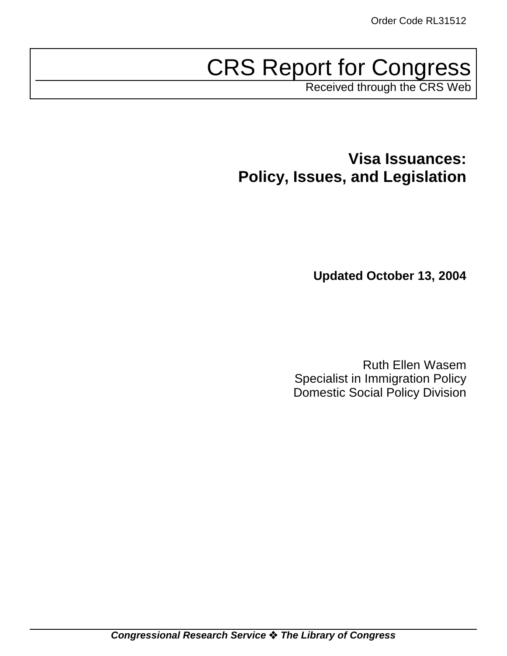# CRS Report for Congress

Received through the CRS Web

**Visa Issuances: Policy, Issues, and Legislation**

**Updated October 13, 2004**

Ruth Ellen Wasem Specialist in Immigration Policy Domestic Social Policy Division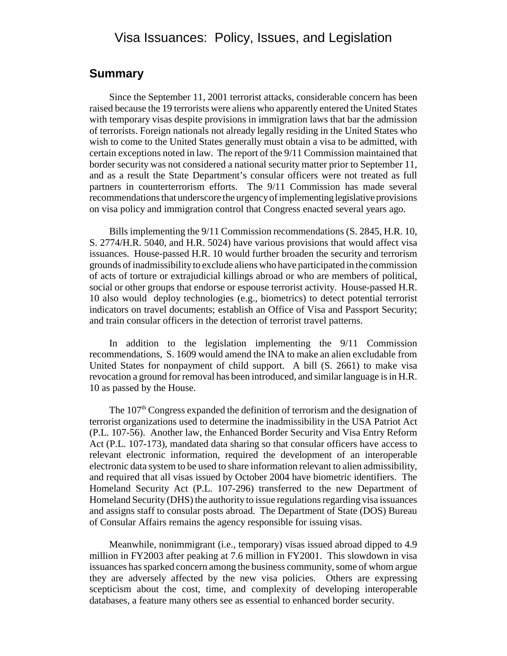# Visa Issuances: Policy, Issues, and Legislation

### **Summary**

Since the September 11, 2001 terrorist attacks, considerable concern has been raised because the 19 terrorists were aliens who apparently entered the United States with temporary visas despite provisions in immigration laws that bar the admission of terrorists. Foreign nationals not already legally residing in the United States who wish to come to the United States generally must obtain a visa to be admitted, with certain exceptions noted in law. The report of the 9/11 Commission maintained that border security was not considered a national security matter prior to September 11, and as a result the State Department's consular officers were not treated as full partners in counterterrorism efforts. The 9/11 Commission has made several recommendations that underscore the urgency of implementing legislative provisions on visa policy and immigration control that Congress enacted several years ago.

Bills implementing the 9/11 Commission recommendations (S. 2845, H.R. 10, S. 2774/H.R. 5040, and H.R. 5024) have various provisions that would affect visa issuances. House-passed H.R. 10 would further broaden the security and terrorism grounds of inadmissibility to exclude aliens who have participated in the commission of acts of torture or extrajudicial killings abroad or who are members of political, social or other groups that endorse or espouse terrorist activity. House-passed H.R. 10 also would deploy technologies (e.g., biometrics) to detect potential terrorist indicators on travel documents; establish an Office of Visa and Passport Security; and train consular officers in the detection of terrorist travel patterns.

In addition to the legislation implementing the 9/11 Commission recommendations, S. 1609 would amend the INA to make an alien excludable from United States for nonpayment of child support. A bill (S. 2661) to make visa revocation a ground for removal has been introduced, and similar language is in H.R. 10 as passed by the House.

The 107<sup>th</sup> Congress expanded the definition of terrorism and the designation of terrorist organizations used to determine the inadmissibility in the USA Patriot Act (P.L. 107-56). Another law, the Enhanced Border Security and Visa Entry Reform Act (P.L. 107-173), mandated data sharing so that consular officers have access to relevant electronic information, required the development of an interoperable electronic data system to be used to share information relevant to alien admissibility, and required that all visas issued by October 2004 have biometric identifiers. The Homeland Security Act (P.L. 107-296) transferred to the new Department of Homeland Security (DHS) the authority to issue regulations regarding visa issuances and assigns staff to consular posts abroad. The Department of State (DOS) Bureau of Consular Affairs remains the agency responsible for issuing visas.

Meanwhile, nonimmigrant (i.e., temporary) visas issued abroad dipped to 4.9 million in FY2003 after peaking at 7.6 million in FY2001. This slowdown in visa issuances has sparked concern among the business community, some of whom argue they are adversely affected by the new visa policies. Others are expressing scepticism about the cost, time, and complexity of developing interoperable databases, a feature many others see as essential to enhanced border security.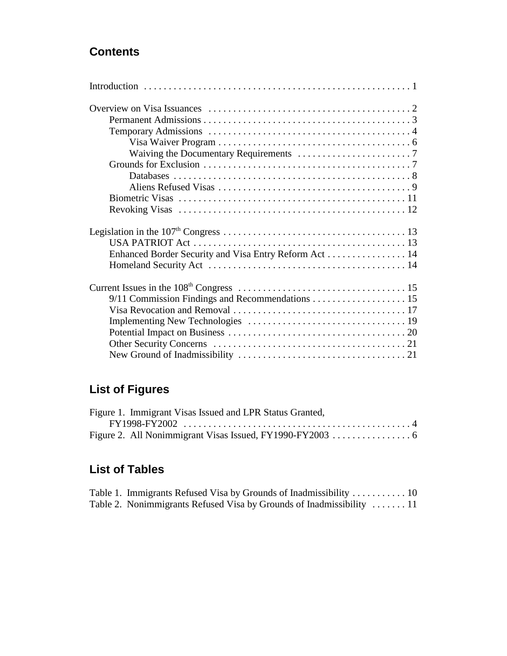# **Contents**

| Enhanced Border Security and Visa Entry Reform Act  14 |
|--------------------------------------------------------|
|                                                        |
|                                                        |
|                                                        |
|                                                        |
|                                                        |
|                                                        |
|                                                        |
|                                                        |

# **List of Figures**

| Figure 1. Immigrant Visas Issued and LPR Status Granted, |  |
|----------------------------------------------------------|--|
|                                                          |  |
|                                                          |  |

# **List of Tables**

| Table 1. Immigrants Refused Visa by Grounds of Inadmissibility  10    |  |
|-----------------------------------------------------------------------|--|
| Table 2. Nonimmigrants Refused Visa by Grounds of Inadmissibility  11 |  |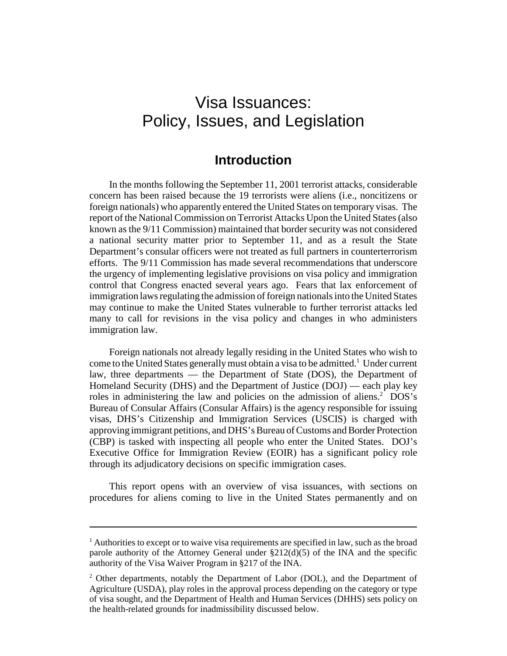# Visa Issuances: Policy, Issues, and Legislation

# **Introduction**

In the months following the September 11, 2001 terrorist attacks, considerable concern has been raised because the 19 terrorists were aliens (i.e., noncitizens or foreign nationals) who apparently entered the United States on temporary visas. The report of the National Commission on Terrorist Attacks Upon the United States (also known as the 9/11 Commission) maintained that border security was not considered a national security matter prior to September 11, and as a result the State Department's consular officers were not treated as full partners in counterterrorism efforts. The 9/11 Commission has made several recommendations that underscore the urgency of implementing legislative provisions on visa policy and immigration control that Congress enacted several years ago. Fears that lax enforcement of immigration laws regulating the admission of foreign nationals into the United States may continue to make the United States vulnerable to further terrorist attacks led many to call for revisions in the visa policy and changes in who administers immigration law.

Foreign nationals not already legally residing in the United States who wish to come to the United States generally must obtain a visa to be admitted.<sup>1</sup> Under current law, three departments — the Department of State (DOS), the Department of Homeland Security (DHS) and the Department of Justice (DOJ) — each play key roles in administering the law and policies on the admission of aliens.<sup>2</sup> DOS's Bureau of Consular Affairs (Consular Affairs) is the agency responsible for issuing visas, DHS's Citizenship and Immigration Services (USCIS) is charged with approving immigrant petitions, and DHS's Bureau of Customs and Border Protection (CBP) is tasked with inspecting all people who enter the United States. DOJ's Executive Office for Immigration Review (EOIR) has a significant policy role through its adjudicatory decisions on specific immigration cases.

This report opens with an overview of visa issuances, with sections on procedures for aliens coming to live in the United States permanently and on

 $<sup>1</sup>$  Authorities to except or to waive visa requirements are specified in law, such as the broad</sup> parole authority of the Attorney General under  $\S212(d)(5)$  of the INA and the specific authority of the Visa Waiver Program in §217 of the INA.

<sup>&</sup>lt;sup>2</sup> Other departments, notably the Department of Labor (DOL), and the Department of Agriculture (USDA), play roles in the approval process depending on the category or type of visa sought, and the Department of Health and Human Services (DHHS) sets policy on the health-related grounds for inadmissibility discussed below.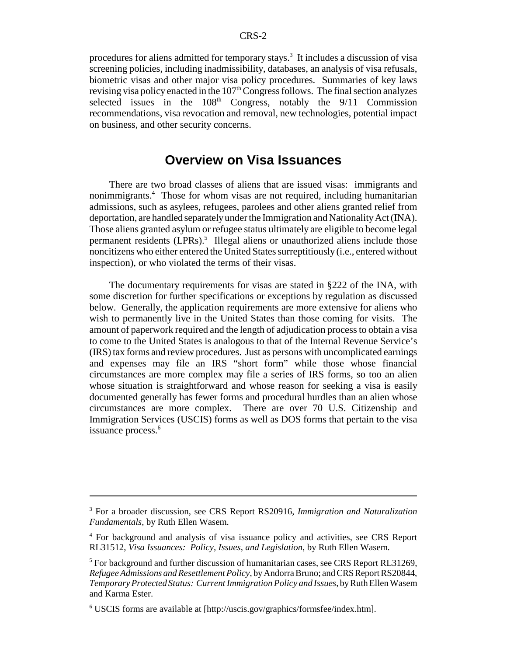procedures for aliens admitted for temporary stays.<sup>3</sup> It includes a discussion of visa screening policies, including inadmissibility, databases, an analysis of visa refusals, biometric visas and other major visa policy procedures. Summaries of key laws revising visa policy enacted in the  $107<sup>th</sup>$  Congress follows. The final section analyzes selected issues in the  $108<sup>th</sup>$  Congress, notably the  $9/11$  Commission recommendations, visa revocation and removal, new technologies, potential impact on business, and other security concerns.

# **Overview on Visa Issuances**

There are two broad classes of aliens that are issued visas: immigrants and nonimmigrants.4 Those for whom visas are not required, including humanitarian admissions, such as asylees, refugees, parolees and other aliens granted relief from deportation, are handled separately under the Immigration and Nationality Act (INA). Those aliens granted asylum or refugee status ultimately are eligible to become legal permanent residents (LPRs).<sup>5</sup> Illegal aliens or unauthorized aliens include those noncitizens who either entered the United States surreptitiously (i.e., entered without inspection), or who violated the terms of their visas.

The documentary requirements for visas are stated in §222 of the INA, with some discretion for further specifications or exceptions by regulation as discussed below. Generally, the application requirements are more extensive for aliens who wish to permanently live in the United States than those coming for visits. The amount of paperwork required and the length of adjudication process to obtain a visa to come to the United States is analogous to that of the Internal Revenue Service's (IRS) tax forms and review procedures. Just as persons with uncomplicated earnings and expenses may file an IRS "short form" while those whose financial circumstances are more complex may file a series of IRS forms, so too an alien whose situation is straightforward and whose reason for seeking a visa is easily documented generally has fewer forms and procedural hurdles than an alien whose circumstances are more complex. There are over 70 U.S. Citizenship and Immigration Services (USCIS) forms as well as DOS forms that pertain to the visa issuance process.<sup>6</sup>

<sup>3</sup> For a broader discussion, see CRS Report RS20916, *Immigration and Naturalization Fundamentals*, by Ruth Ellen Wasem.

<sup>&</sup>lt;sup>4</sup> For background and analysis of visa issuance policy and activities, see CRS Report RL31512, *Visa Issuances: Policy, Issues, and Legislation*, by Ruth Ellen Wasem.

<sup>&</sup>lt;sup>5</sup> For background and further discussion of humanitarian cases, see CRS Report RL31269, *Refugee Admissions and Resettlement Policy*, by Andorra Bruno; and CRS Report RS20844, *Temporary Protected Status: Current Immigration Policy and Issues*, by Ruth Ellen Wasem and Karma Ester.

<sup>6</sup> USCIS forms are available at [http://uscis.gov/graphics/formsfee/index.htm].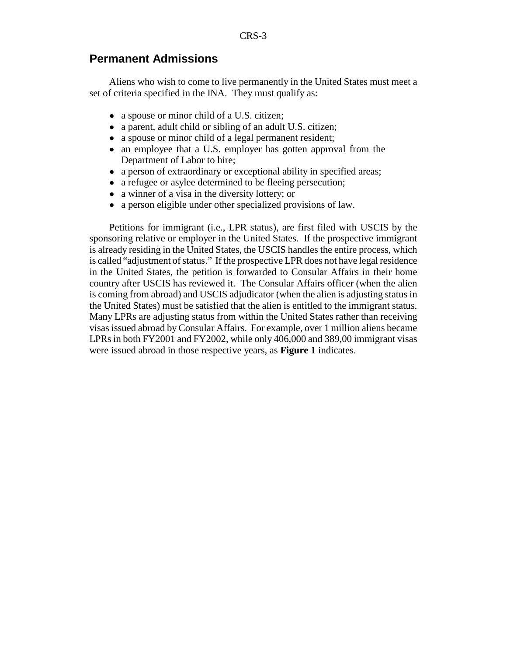#### **Permanent Admissions**

Aliens who wish to come to live permanently in the United States must meet a set of criteria specified in the INA. They must qualify as:

- a spouse or minor child of a U.S. citizen;
- a parent, adult child or sibling of an adult U.S. citizen;
- a spouse or minor child of a legal permanent resident;
- an employee that a U.S. employer has gotten approval from the Department of Labor to hire;
- a person of extraordinary or exceptional ability in specified areas;
- a refugee or asylee determined to be fleeing persecution;
- a winner of a visa in the diversity lottery; or
- ! a person eligible under other specialized provisions of law.

Petitions for immigrant (i.e., LPR status), are first filed with USCIS by the sponsoring relative or employer in the United States. If the prospective immigrant is already residing in the United States, the USCIS handles the entire process, which is called "adjustment of status." If the prospective LPR does not have legal residence in the United States, the petition is forwarded to Consular Affairs in their home country after USCIS has reviewed it. The Consular Affairs officer (when the alien is coming from abroad) and USCIS adjudicator (when the alien is adjusting status in the United States) must be satisfied that the alien is entitled to the immigrant status. Many LPRs are adjusting status from within the United States rather than receiving visas issued abroad by Consular Affairs. For example, over 1 million aliens became LPRs in both FY2001 and FY2002, while only 406,000 and 389,00 immigrant visas were issued abroad in those respective years, as **Figure 1** indicates.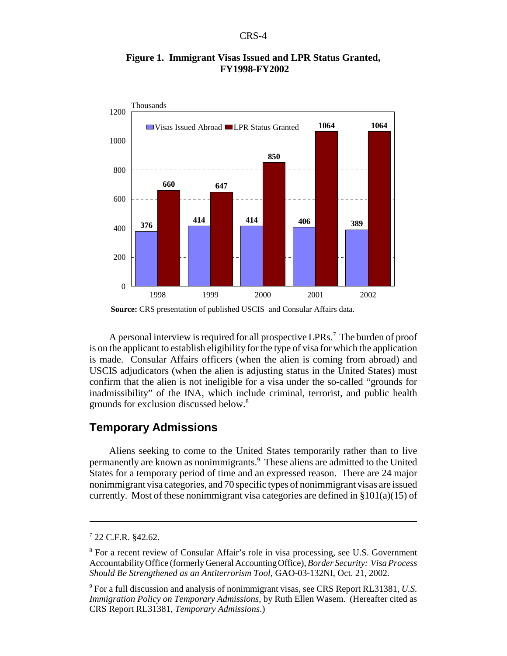

#### **Figure 1. Immigrant Visas Issued and LPR Status Granted, FY1998-FY2002**

A personal interview is required for all prospective LPRs.<sup>7</sup> The burden of proof is on the applicant to establish eligibility for the type of visa for which the application is made. Consular Affairs officers (when the alien is coming from abroad) and USCIS adjudicators (when the alien is adjusting status in the United States) must confirm that the alien is not ineligible for a visa under the so-called "grounds for inadmissibility" of the INA, which include criminal, terrorist, and public health grounds for exclusion discussed below.<sup>8</sup>

#### **Temporary Admissions**

Aliens seeking to come to the United States temporarily rather than to live permanently are known as nonimmigrants.<sup>9</sup> These aliens are admitted to the United States for a temporary period of time and an expressed reason. There are 24 major nonimmigrant visa categories, and 70 specific types of nonimmigrant visas are issued currently. Most of these nonimmigrant visa categories are defined in  $\S 101(a)(15)$  of

**Source:** CRS presentation of published USCIS and Consular Affairs data.

 $7$  22 C.F.R. §42.62.

<sup>&</sup>lt;sup>8</sup> For a recent review of Consular Affair's role in visa processing, see U.S. Government Accountability Office (formerly General Accounting Office), *Border Security: Visa Process Should Be Strengthened as an Antiterrorism Tool*, GAO-03-132NI, Oct. 21, 2002.

<sup>9</sup> For a full discussion and analysis of nonimmigrant visas, see CRS Report RL31381, *U.S. Immigration Policy on Temporary Admissions*, by Ruth Ellen Wasem. (Hereafter cited as CRS Report RL31381, *Temporary Admissions*.)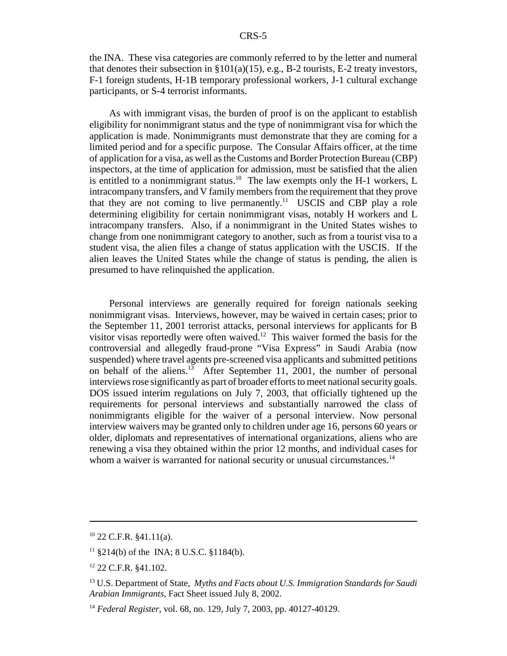the INA. These visa categories are commonly referred to by the letter and numeral that denotes their subsection in  $\S 101(a)(15)$ , e.g., B-2 tourists, E-2 treaty investors, F-1 foreign students, H-1B temporary professional workers, J-1 cultural exchange participants, or S-4 terrorist informants.

As with immigrant visas, the burden of proof is on the applicant to establish eligibility for nonimmigrant status and the type of nonimmigrant visa for which the application is made. Nonimmigrants must demonstrate that they are coming for a limited period and for a specific purpose. The Consular Affairs officer, at the time of application for a visa, as well as the Customs and Border Protection Bureau (CBP) inspectors, at the time of application for admission, must be satisfied that the alien is entitled to a nonimmigrant status.<sup>10</sup> The law exempts only the H-1 workers, L intracompany transfers, and V family members from the requirement that they prove that they are not coming to live permanently.<sup>11</sup> USCIS and CBP play a role determining eligibility for certain nonimmigrant visas, notably H workers and L intracompany transfers. Also, if a nonimmigrant in the United States wishes to change from one nonimmigrant category to another, such as from a tourist visa to a student visa, the alien files a change of status application with the USCIS. If the alien leaves the United States while the change of status is pending, the alien is presumed to have relinquished the application.

Personal interviews are generally required for foreign nationals seeking nonimmigrant visas. Interviews, however, may be waived in certain cases; prior to the September 11, 2001 terrorist attacks, personal interviews for applicants for B visitor visas reportedly were often waived.<sup>12</sup> This waiver formed the basis for the controversial and allegedly fraud-prone "Visa Express" in Saudi Arabia (now suspended) where travel agents pre-screened visa applicants and submitted petitions on behalf of the aliens. $13$  After September 11, 2001, the number of personal interviews rose significantly as part of broader efforts to meet national security goals. DOS issued interim regulations on July 7, 2003, that officially tightened up the requirements for personal interviews and substantially narrowed the class of nonimmigrants eligible for the waiver of a personal interview. Now personal interview waivers may be granted only to children under age 16, persons 60 years or older, diplomats and representatives of international organizations, aliens who are renewing a visa they obtained within the prior 12 months, and individual cases for whom a waiver is warranted for national security or unusual circumstances.<sup>14</sup>

 $10$  22 C.F.R. §41.11(a).

 $11$  §214(b) of the INA; 8 U.S.C. §1184(b).

<sup>12 22</sup> C.F.R. §41.102.

<sup>13</sup> U.S. Department of State, *Myths and Facts about U.S. Immigration Standards for Saudi Arabian Immigrants*, Fact Sheet issued July 8, 2002.

<sup>14</sup> *Federal Register*, vol. 68, no. 129, July 7, 2003, pp. 40127-40129.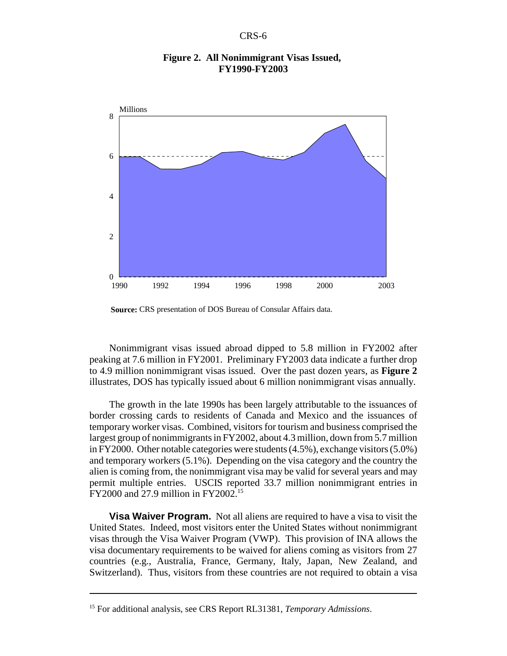

#### **Figure 2. All Nonimmigrant Visas Issued, FY1990-FY2003**

**Source:** CRS presentation of DOS Bureau of Consular Affairs data.

Nonimmigrant visas issued abroad dipped to 5.8 million in FY2002 after peaking at 7.6 million in FY2001. Preliminary FY2003 data indicate a further drop to 4.9 million nonimmigrant visas issued. Over the past dozen years, as **Figure 2** illustrates, DOS has typically issued about 6 million nonimmigrant visas annually.

The growth in the late 1990s has been largely attributable to the issuances of border crossing cards to residents of Canada and Mexico and the issuances of temporary worker visas. Combined, visitors for tourism and business comprised the largest group of nonimmigrants in FY2002, about 4.3 million, down from 5.7 million in FY2000. Other notable categories were students (4.5%), exchange visitors (5.0%) and temporary workers (5.1%). Depending on the visa category and the country the alien is coming from, the nonimmigrant visa may be valid for several years and may permit multiple entries. USCIS reported 33.7 million nonimmigrant entries in FY2000 and 27.9 million in FY2002.15

**Visa Waiver Program.** Not all aliens are required to have a visa to visit the United States. Indeed, most visitors enter the United States without nonimmigrant visas through the Visa Waiver Program (VWP). This provision of INA allows the visa documentary requirements to be waived for aliens coming as visitors from 27 countries (e.g., Australia, France, Germany, Italy, Japan, New Zealand, and Switzerland). Thus, visitors from these countries are not required to obtain a visa

<sup>15</sup> For additional analysis, see CRS Report RL31381, *Temporary Admissions*.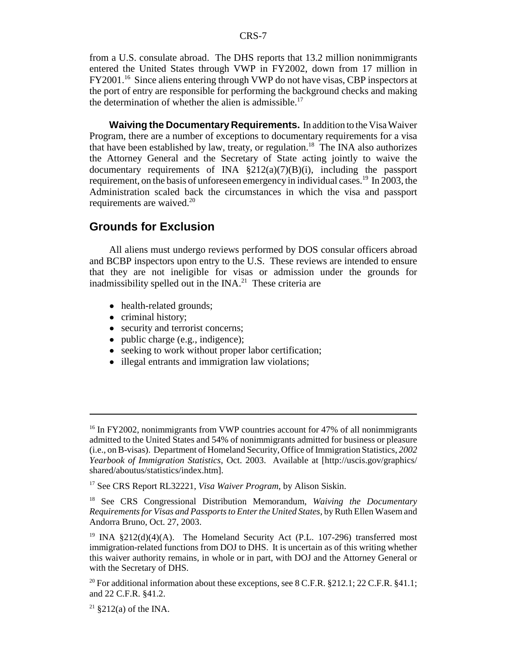from a U.S. consulate abroad. The DHS reports that 13.2 million nonimmigrants entered the United States through VWP in FY2002, down from 17 million in FY2001.16 Since aliens entering through VWP do not have visas, CBP inspectors at the port of entry are responsible for performing the background checks and making the determination of whether the alien is admissible.<sup>17</sup>

**Waiving the Documentary Requirements.** In addition to the Visa Waiver Program, there are a number of exceptions to documentary requirements for a visa that have been established by law, treaty, or regulation.<sup>18</sup> The INA also authorizes the Attorney General and the Secretary of State acting jointly to waive the documentary requirements of INA  $\S212(a)(7)(B)(i)$ , including the passport requirement, on the basis of unforeseen emergency in individual cases.<sup>19</sup> In 2003, the Administration scaled back the circumstances in which the visa and passport requirements are waived.<sup>20</sup>

## **Grounds for Exclusion**

All aliens must undergo reviews performed by DOS consular officers abroad and BCBP inspectors upon entry to the U.S. These reviews are intended to ensure that they are not ineligible for visas or admission under the grounds for inadmissibility spelled out in the INA.<sup>21</sup> These criteria are

- health-related grounds;
- criminal history;
- security and terrorist concerns;
- $\bullet$  public charge (e.g., indigence);
- seeking to work without proper labor certification;
- illegal entrants and immigration law violations;

<sup>&</sup>lt;sup>16</sup> In FY2002, nonimmigrants from VWP countries account for 47% of all nonimmigrants admitted to the United States and 54% of nonimmigrants admitted for business or pleasure (i.e., on B-visas). Department of Homeland Security, Office of Immigration Statistics, *2002 Yearbook of Immigration Statistics*, Oct. 2003. Available at [http://uscis.gov/graphics/ shared/aboutus/statistics/index.htm].

<sup>17</sup> See CRS Report RL32221, *Visa Waiver Program*, by Alison Siskin.

<sup>18</sup> See CRS Congressional Distribution Memorandum, *Waiving the Documentary Requirements for Visas and Passports to Enter the United States*, by Ruth Ellen Wasem and Andorra Bruno, Oct. 27, 2003.

<sup>&</sup>lt;sup>19</sup> INA §212(d)(4)(A). The Homeland Security Act (P.L. 107-296) transferred most immigration-related functions from DOJ to DHS. It is uncertain as of this writing whether this waiver authority remains, in whole or in part, with DOJ and the Attorney General or with the Secretary of DHS.

<sup>&</sup>lt;sup>20</sup> For additional information about these exceptions, see 8 C.F.R. §212.1; 22 C.F.R. §41.1; and 22 C.F.R. §41.2.

 $21 \text{ } $212(a) \text{ of the INA.}$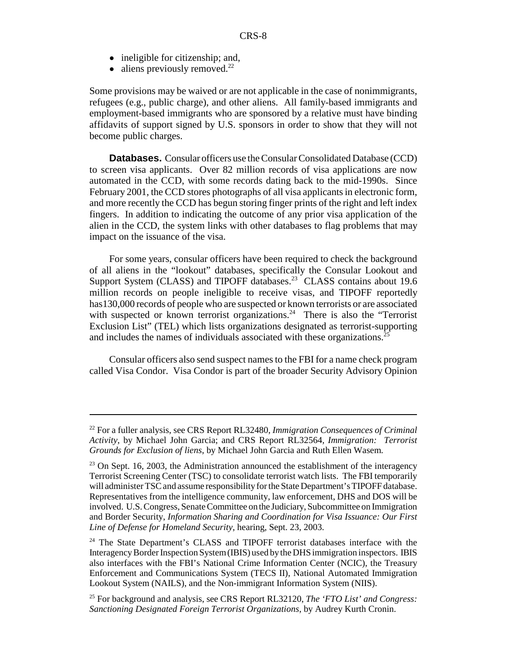- ineligible for citizenship; and,
- $\bullet$  aliens previously removed.<sup>22</sup>

Some provisions may be waived or are not applicable in the case of nonimmigrants, refugees (e.g., public charge), and other aliens. All family-based immigrants and employment-based immigrants who are sponsored by a relative must have binding affidavits of support signed by U.S. sponsors in order to show that they will not become public charges.

**Databases.** Consular officers use the Consular Consolidated Database (CCD) to screen visa applicants. Over 82 million records of visa applications are now automated in the CCD, with some records dating back to the mid-1990s. Since February 2001, the CCD stores photographs of all visa applicants in electronic form, and more recently the CCD has begun storing finger prints of the right and left index fingers. In addition to indicating the outcome of any prior visa application of the alien in the CCD, the system links with other databases to flag problems that may impact on the issuance of the visa.

For some years, consular officers have been required to check the background of all aliens in the "lookout" databases, specifically the Consular Lookout and Support System (CLASS) and TIPOFF databases.<sup>23</sup> CLASS contains about 19.6 million records on people ineligible to receive visas, and TIPOFF reportedly has130,000 records of people who are suspected or known terrorists or are associated with suspected or known terrorist organizations.<sup>24</sup> There is also the "Terrorist" Exclusion List" (TEL) which lists organizations designated as terrorist-supporting and includes the names of individuals associated with these organizations.<sup>25</sup>

Consular officers also send suspect names to the FBI for a name check program called Visa Condor. Visa Condor is part of the broader Security Advisory Opinion

<sup>22</sup> For a fuller analysis, see CRS Report RL32480, *Immigration Consequences of Criminal Activity*, by Michael John Garcia; and CRS Report RL32564, *Immigration: Terrorist Grounds for Exclusion of liens*, by Michael John Garcia and Ruth Ellen Wasem.

<sup>&</sup>lt;sup>23</sup> On Sept. 16, 2003, the Administration announced the establishment of the interagency Terrorist Screening Center (TSC) to consolidate terrorist watch lists. The FBI temporarily will administer TSC and assume responsibility for the State Department's TIPOFF database. Representatives from the intelligence community, law enforcement, DHS and DOS will be involved. U.S. Congress, Senate Committee on the Judiciary, Subcommittee on Immigration and Border Security, *Information Sharing and Coordination for Visa Issuance: Our First Line of Defense for Homeland Security*, hearing, Sept. 23, 2003.

<sup>&</sup>lt;sup>24</sup> The State Department's CLASS and TIPOFF terrorist databases interface with the Interagency Border Inspection System (IBIS) used by the DHS immigration inspectors. IBIS also interfaces with the FBI's National Crime Information Center (NCIC), the Treasury Enforcement and Communications System (TECS II), National Automated Immigration Lookout System (NAILS), and the Non-immigrant Information System (NIIS).

<sup>25</sup> For background and analysis, see CRS Report RL32120, *The 'FTO List' and Congress: Sanctioning Designated Foreign Terrorist Organizations*, by Audrey Kurth Cronin.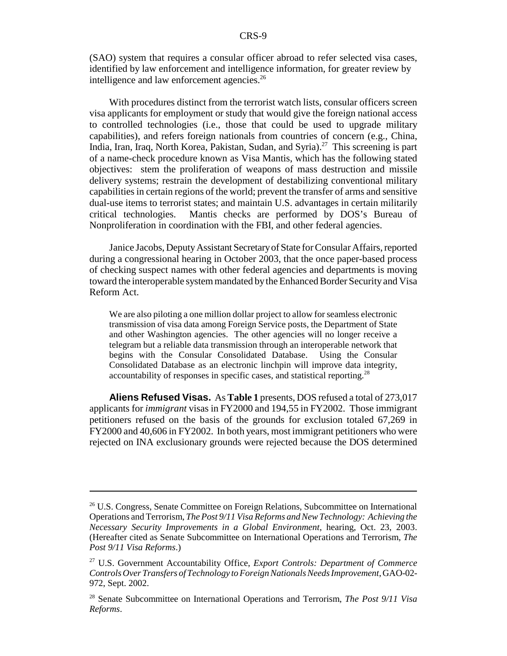(SAO) system that requires a consular officer abroad to refer selected visa cases, identified by law enforcement and intelligence information, for greater review by intelligence and law enforcement agencies. $26$ 

With procedures distinct from the terrorist watch lists, consular officers screen visa applicants for employment or study that would give the foreign national access to controlled technologies (i.e., those that could be used to upgrade military capabilities), and refers foreign nationals from countries of concern (e.g., China, India, Iran, Iraq, North Korea, Pakistan, Sudan, and Syria).<sup>27</sup> This screening is part of a name-check procedure known as Visa Mantis, which has the following stated objectives: stem the proliferation of weapons of mass destruction and missile delivery systems; restrain the development of destabilizing conventional military capabilities in certain regions of the world; prevent the transfer of arms and sensitive dual-use items to terrorist states; and maintain U.S. advantages in certain militarily critical technologies. Mantis checks are performed by DOS's Bureau of Nonproliferation in coordination with the FBI, and other federal agencies.

Janice Jacobs, Deputy Assistant Secretary of State for Consular Affairs, reported during a congressional hearing in October 2003, that the once paper-based process of checking suspect names with other federal agencies and departments is moving toward the interoperable system mandated by the Enhanced Border Security and Visa Reform Act.

We are also piloting a one million dollar project to allow for seamless electronic transmission of visa data among Foreign Service posts, the Department of State and other Washington agencies. The other agencies will no longer receive a telegram but a reliable data transmission through an interoperable network that begins with the Consular Consolidated Database. Using the Consular Consolidated Database as an electronic linchpin will improve data integrity, accountability of responses in specific cases, and statistical reporting.28

**Aliens Refused Visas.** As **Table 1** presents, DOS refused a total of 273,017 applicants for *immigrant* visas in FY2000 and 194,55 in FY2002. Those immigrant petitioners refused on the basis of the grounds for exclusion totaled 67,269 in FY2000 and 40,606 in FY2002. In both years, most immigrant petitioners who were rejected on INA exclusionary grounds were rejected because the DOS determined

<sup>&</sup>lt;sup>26</sup> U.S. Congress, Senate Committee on Foreign Relations, Subcommittee on International Operations and Terrorism, *The Post 9/11 Visa Reforms and New Technology: Achieving the Necessary Security Improvements in a Global Environment*, hearing, Oct. 23, 2003. (Hereafter cited as Senate Subcommittee on International Operations and Terrorism, *The Post 9/11 Visa Reforms*.)

<sup>27</sup> U.S. Government Accountability Office, *Export Controls: Department of Commerce Controls Over Transfers of Technology to Foreign Nationals Needs Improvement*, GAO-02- 972, Sept. 2002.

<sup>28</sup> Senate Subcommittee on International Operations and Terrorism, *The Post 9/11 Visa Reforms*.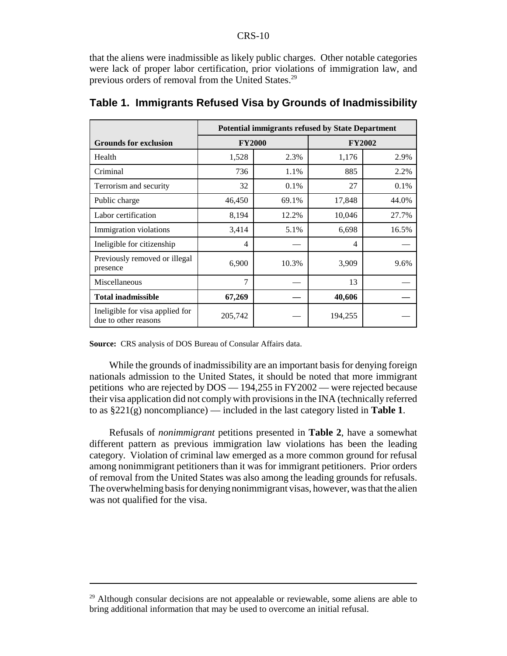that the aliens were inadmissible as likely public charges. Other notable categories were lack of proper labor certification, prior violations of immigration law, and previous orders of removal from the United States.29

|                                                         | <b>Potential immigrants refused by State Department</b> |       |               |       |
|---------------------------------------------------------|---------------------------------------------------------|-------|---------------|-------|
| <b>Grounds for exclusion</b>                            | <b>FY2000</b>                                           |       | <b>FY2002</b> |       |
| Health                                                  | 1,528                                                   | 2.3%  | 1,176         | 2.9%  |
| Criminal                                                | 736                                                     | 1.1%  | 885           | 2.2%  |
| Terrorism and security                                  | 32                                                      | 0.1%  | 27            | 0.1%  |
| Public charge                                           | 46,450                                                  | 69.1% | 17,848        | 44.0% |
| Labor certification                                     | 8,194                                                   | 12.2% | 10,046        | 27.7% |
| Immigration violations                                  | 3,414                                                   | 5.1%  | 6,698         | 16.5% |
| Ineligible for citizenship                              | 4                                                       |       | 4             |       |
| Previously removed or illegal<br>presence               | 6,900                                                   | 10.3% | 3,909         | 9.6%  |
| Miscellaneous                                           | $\tau$                                                  |       | 13            |       |
| <b>Total inadmissible</b>                               | 67,269                                                  |       | 40,606        |       |
| Ineligible for visa applied for<br>due to other reasons | 205,742                                                 |       | 194,255       |       |

#### **Table 1. Immigrants Refused Visa by Grounds of Inadmissibility**

**Source:** CRS analysis of DOS Bureau of Consular Affairs data.

While the grounds of inadmissibility are an important basis for denying foreign nationals admission to the United States, it should be noted that more immigrant petitions who are rejected by DOS — 194,255 in FY2002 — were rejected because their visa application did not comply with provisions in the INA (technically referred to as §221(g) noncompliance) — included in the last category listed in **Table 1**.

Refusals of *nonimmigrant* petitions presented in **Table 2**, have a somewhat different pattern as previous immigration law violations has been the leading category. Violation of criminal law emerged as a more common ground for refusal among nonimmigrant petitioners than it was for immigrant petitioners. Prior orders of removal from the United States was also among the leading grounds for refusals. The overwhelming basis for denying nonimmigrant visas, however, was that the alien was not qualified for the visa.

<sup>&</sup>lt;sup>29</sup> Although consular decisions are not appealable or reviewable, some aliens are able to bring additional information that may be used to overcome an initial refusal.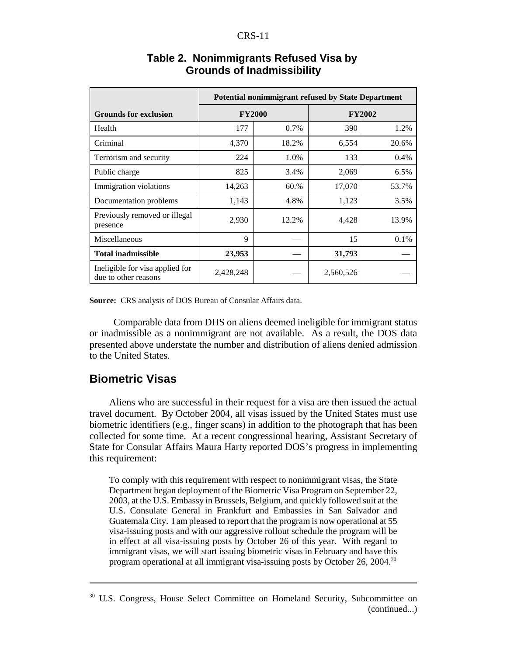|                                                         | <b>Potential nonimmigrant refused by State Department</b> |       |               |       |
|---------------------------------------------------------|-----------------------------------------------------------|-------|---------------|-------|
| <b>Grounds for exclusion</b>                            | <b>FY2000</b>                                             |       | <b>FY2002</b> |       |
| Health                                                  | 177                                                       | 0.7%  | 390           | 1.2%  |
| Criminal                                                | 4,370                                                     | 18.2% | 6,554         | 20.6% |
| Terrorism and security                                  | 224                                                       | 1.0%  | 133           | 0.4%  |
| Public charge                                           | 825                                                       | 3.4%  | 2,069         | 6.5%  |
| Immigration violations                                  | 14,263                                                    | 60.%  | 17,070        | 53.7% |
| Documentation problems                                  | 1,143                                                     | 4.8%  | 1,123         | 3.5%  |
| Previously removed or illegal<br>presence               | 2,930                                                     | 12.2% | 4,428         | 13.9% |
| Miscellaneous                                           | 9                                                         |       | 15            | 0.1%  |
| <b>Total inadmissible</b>                               | 23,953                                                    |       | 31,793        |       |
| Ineligible for visa applied for<br>due to other reasons | 2,428,248                                                 |       | 2,560,526     |       |

#### **Table 2. Nonimmigrants Refused Visa by Grounds of Inadmissibility**

**Source:** CRS analysis of DOS Bureau of Consular Affairs data.

 Comparable data from DHS on aliens deemed ineligible for immigrant status or inadmissible as a nonimmigrant are not available. As a result, the DOS data presented above understate the number and distribution of aliens denied admission to the United States.

## **Biometric Visas**

Aliens who are successful in their request for a visa are then issued the actual travel document. By October 2004, all visas issued by the United States must use biometric identifiers (e.g., finger scans) in addition to the photograph that has been collected for some time. At a recent congressional hearing, Assistant Secretary of State for Consular Affairs Maura Harty reported DOS's progress in implementing this requirement:

To comply with this requirement with respect to nonimmigrant visas, the State Department began deployment of the Biometric Visa Program on September 22, 2003, at the U.S. Embassy in Brussels, Belgium, and quickly followed suit at the U.S. Consulate General in Frankfurt and Embassies in San Salvador and Guatemala City. I am pleased to report that the program is now operational at 55 visa-issuing posts and with our aggressive rollout schedule the program will be in effect at all visa-issuing posts by October 26 of this year. With regard to immigrant visas, we will start issuing biometric visas in February and have this program operational at all immigrant visa-issuing posts by October 26, 2004.30

<sup>&</sup>lt;sup>30</sup> U.S. Congress, House Select Committee on Homeland Security, Subcommittee on (continued...)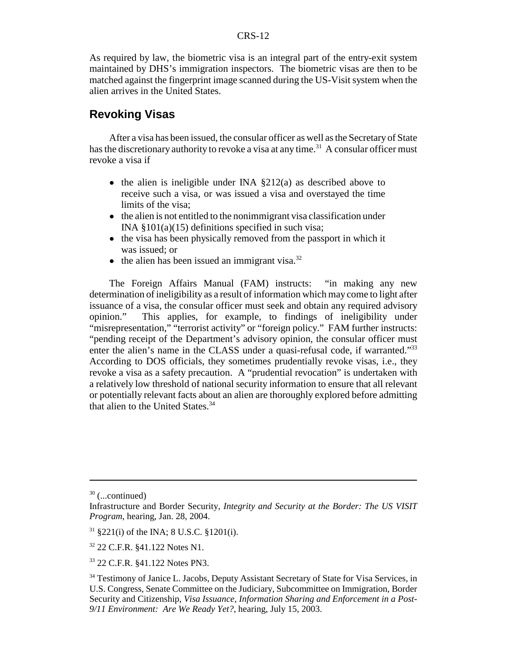As required by law, the biometric visa is an integral part of the entry-exit system maintained by DHS's immigration inspectors. The biometric visas are then to be matched against the fingerprint image scanned during the US-Visit system when the alien arrives in the United States.

## **Revoking Visas**

After a visa has been issued, the consular officer as well as the Secretary of State has the discretionary authority to revoke a visa at any time.<sup>31</sup> A consular officer must revoke a visa if

- $\bullet$  the alien is ineligible under INA  $\S212(a)$  as described above to receive such a visa, or was issued a visa and overstayed the time limits of the visa;
- the alien is not entitled to the nonimmigrant visa classification under INA §101(a)(15) definitions specified in such visa;
- the visa has been physically removed from the passport in which it was issued; or
- $\bullet$  the alien has been issued an immigrant visa.<sup>32</sup>

The Foreign Affairs Manual (FAM) instructs: "in making any new determination of ineligibility as a result of information which may come to light after issuance of a visa, the consular officer must seek and obtain any required advisory opinion." This applies, for example, to findings of ineligibility under "misrepresentation," "terrorist activity" or "foreign policy." FAM further instructs: "pending receipt of the Department's advisory opinion, the consular officer must enter the alien's name in the CLASS under a quasi-refusal code, if warranted."<sup>33</sup> According to DOS officials, they sometimes prudentially revoke visas, i.e., they revoke a visa as a safety precaution. A "prudential revocation" is undertaken with a relatively low threshold of national security information to ensure that all relevant or potentially relevant facts about an alien are thoroughly explored before admitting that alien to the United States.<sup>34</sup>

 $30$  (...continued)

Infrastructure and Border Security, *Integrity and Security at the Border: The US VISIT Program*, hearing, Jan. 28, 2004.

<sup>31 §221(</sup>i) of the INA; 8 U.S.C. §1201(i).

<sup>32 22</sup> C.F.R. §41.122 Notes N1.

<sup>33 22</sup> C.F.R. §41.122 Notes PN3.

<sup>&</sup>lt;sup>34</sup> Testimony of Janice L. Jacobs, Deputy Assistant Secretary of State for Visa Services, in U.S. Congress, Senate Committee on the Judiciary, Subcommittee on Immigration, Border Security and Citizenship, *Visa Issuance, Information Sharing and Enforcement in a Post-9/11 Environment: Are We Ready Yet?*, hearing, July 15, 2003.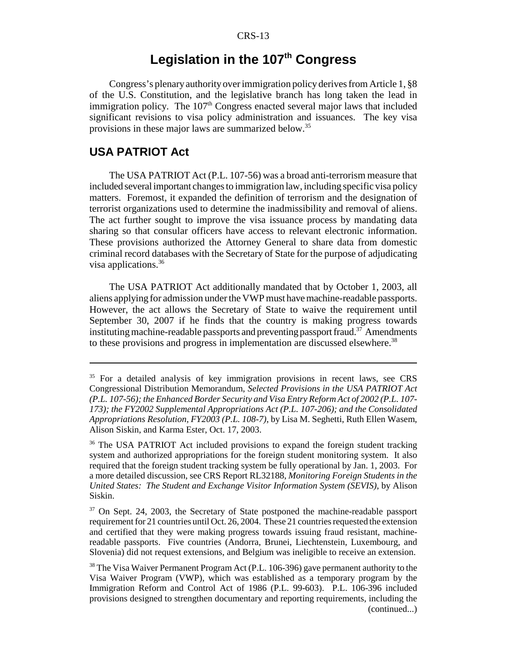# Legislation in the 107<sup>th</sup> Congress

Congress's plenary authority over immigration policy derives from Article 1, §8 of the U.S. Constitution, and the legislative branch has long taken the lead in immigration policy. The 107<sup>th</sup> Congress enacted several major laws that included significant revisions to visa policy administration and issuances. The key visa provisions in these major laws are summarized below.35

## **USA PATRIOT Act**

The USA PATRIOT Act (P.L. 107-56) was a broad anti-terrorism measure that included several important changes to immigration law, including specific visa policy matters. Foremost, it expanded the definition of terrorism and the designation of terrorist organizations used to determine the inadmissibility and removal of aliens. The act further sought to improve the visa issuance process by mandating data sharing so that consular officers have access to relevant electronic information. These provisions authorized the Attorney General to share data from domestic criminal record databases with the Secretary of State for the purpose of adjudicating visa applications.<sup>36</sup>

The USA PATRIOT Act additionally mandated that by October 1, 2003, all aliens applying for admission under the VWP must have machine-readable passports. However, the act allows the Secretary of State to waive the requirement until September 30, 2007 if he finds that the country is making progress towards instituting machine-readable passports and preventing passport fraud.<sup>37</sup> Amendments to these provisions and progress in implementation are discussed elsewhere. $38$ 

<sup>&</sup>lt;sup>35</sup> For a detailed analysis of key immigration provisions in recent laws, see CRS Congressional Distribution Memorandum, *Selected Provisions in the USA PATRIOT Act (P.L. 107-56); the Enhanced Border Security and Visa Entry Reform Act of 2002 (P.L. 107- 173); the FY2002 Supplemental Appropriations Act (P.L. 107-206); and the Consolidated Appropriations Resolution, FY2003 (P.L. 108-7)*, by Lisa M. Seghetti, Ruth Ellen Wasem, Alison Siskin, and Karma Ester, Oct. 17, 2003.

<sup>&</sup>lt;sup>36</sup> The USA PATRIOT Act included provisions to expand the foreign student tracking system and authorized appropriations for the foreign student monitoring system. It also required that the foreign student tracking system be fully operational by Jan. 1, 2003. For a more detailed discussion, see CRS Report RL32188, *Monitoring Foreign Students in the United States: The Student and Exchange Visitor Information System (SEVIS)*, by Alison Siskin.

<sup>&</sup>lt;sup>37</sup> On Sept. 24, 2003, the Secretary of State postponed the machine-readable passport requirement for 21 countries until Oct. 26, 2004. These 21 countries requested the extension and certified that they were making progress towards issuing fraud resistant, machinereadable passports. Five countries (Andorra, Brunei, Liechtenstein, Luxembourg, and Slovenia) did not request extensions, and Belgium was ineligible to receive an extension.

<sup>&</sup>lt;sup>38</sup> The Visa Waiver Permanent Program Act (P.L. 106-396) gave permanent authority to the Visa Waiver Program (VWP), which was established as a temporary program by the Immigration Reform and Control Act of 1986 (P.L. 99-603). P.L. 106-396 included provisions designed to strengthen documentary and reporting requirements, including the (continued...)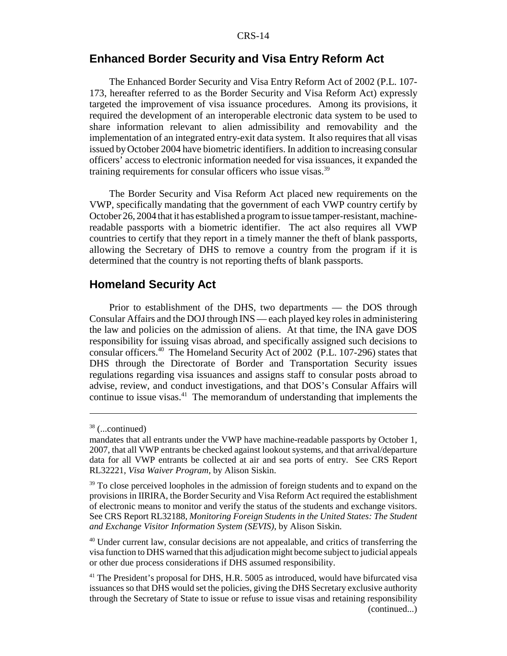## **Enhanced Border Security and Visa Entry Reform Act**

The Enhanced Border Security and Visa Entry Reform Act of 2002 (P.L. 107- 173, hereafter referred to as the Border Security and Visa Reform Act) expressly targeted the improvement of visa issuance procedures. Among its provisions, it required the development of an interoperable electronic data system to be used to share information relevant to alien admissibility and removability and the implementation of an integrated entry-exit data system. It also requires that all visas issued by October 2004 have biometric identifiers. In addition to increasing consular officers' access to electronic information needed for visa issuances, it expanded the training requirements for consular officers who issue visas.<sup>39</sup>

The Border Security and Visa Reform Act placed new requirements on the VWP, specifically mandating that the government of each VWP country certify by October 26, 2004 that it has established a program to issue tamper-resistant, machinereadable passports with a biometric identifier. The act also requires all VWP countries to certify that they report in a timely manner the theft of blank passports, allowing the Secretary of DHS to remove a country from the program if it is determined that the country is not reporting thefts of blank passports.

#### **Homeland Security Act**

Prior to establishment of the DHS, two departments — the DOS through Consular Affairs and the DOJ through INS — each played key roles in administering the law and policies on the admission of aliens. At that time, the INA gave DOS responsibility for issuing visas abroad, and specifically assigned such decisions to consular officers.40 The Homeland Security Act of 2002 (P.L. 107-296) states that DHS through the Directorate of Border and Transportation Security issues regulations regarding visa issuances and assigns staff to consular posts abroad to advise, review, and conduct investigations, and that DOS's Consular Affairs will continue to issue visas.<sup>41</sup> The memorandum of understanding that implements the

<sup>38 (...</sup>continued)

mandates that all entrants under the VWP have machine-readable passports by October 1, 2007, that all VWP entrants be checked against lookout systems, and that arrival/departure data for all VWP entrants be collected at air and sea ports of entry. See CRS Report RL32221, *Visa Waiver Program*, by Alison Siskin.

<sup>&</sup>lt;sup>39</sup> To close perceived loopholes in the admission of foreign students and to expand on the provisions in IIRIRA, the Border Security and Visa Reform Act required the establishment of electronic means to monitor and verify the status of the students and exchange visitors. See CRS Report RL32188, *Monitoring Foreign Students in the United States: The Student and Exchange Visitor Information System (SEVIS)*, by Alison Siskin.

 $40$  Under current law, consular decisions are not appealable, and critics of transferring the visa function to DHS warned that this adjudication might become subject to judicial appeals or other due process considerations if DHS assumed responsibility.

<sup>&</sup>lt;sup>41</sup> The President's proposal for DHS, H.R. 5005 as introduced, would have bifurcated visa issuances so that DHS would set the policies, giving the DHS Secretary exclusive authority through the Secretary of State to issue or refuse to issue visas and retaining responsibility (continued...)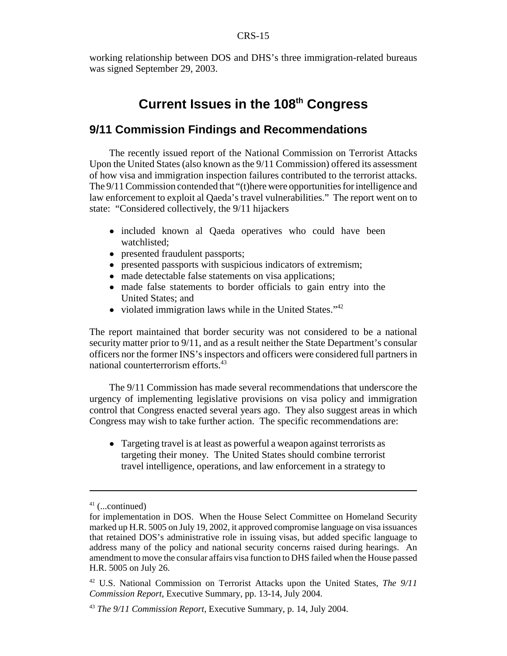working relationship between DOS and DHS's three immigration-related bureaus was signed September 29, 2003.

# **Current Issues in the 108th Congress**

## **9/11 Commission Findings and Recommendations**

The recently issued report of the National Commission on Terrorist Attacks Upon the United States (also known as the 9/11 Commission) offered its assessment of how visa and immigration inspection failures contributed to the terrorist attacks. The 9/11 Commission contended that "(t)here were opportunities for intelligence and law enforcement to exploit al Qaeda's travel vulnerabilities." The report went on to state: "Considered collectively, the 9/11 hijackers

- ! included known al Qaeda operatives who could have been watchlisted;
- presented fraudulent passports;
- presented passports with suspicious indicators of extremism;
- made detectable false statements on visa applications;
- made false statements to border officials to gain entry into the United States; and
- $\bullet$  violated immigration laws while in the United States."<sup>42</sup>

The report maintained that border security was not considered to be a national security matter prior to 9/11, and as a result neither the State Department's consular officers nor the former INS's inspectors and officers were considered full partners in national counterterrorism efforts.43

The 9/11 Commission has made several recommendations that underscore the urgency of implementing legislative provisions on visa policy and immigration control that Congress enacted several years ago. They also suggest areas in which Congress may wish to take further action. The specific recommendations are:

• Targeting travel is at least as powerful a weapon against terrorists as targeting their money. The United States should combine terrorist travel intelligence, operations, and law enforcement in a strategy to

 $41$  (...continued)

for implementation in DOS. When the House Select Committee on Homeland Security marked up H.R. 5005 on July 19, 2002, it approved compromise language on visa issuances that retained DOS's administrative role in issuing visas, but added specific language to address many of the policy and national security concerns raised during hearings. An amendment to move the consular affairs visa function to DHS failed when the House passed H.R. 5005 on July 26.

<sup>42</sup> U.S. National Commission on Terrorist Attacks upon the United States, *The 9/11 Commission Report*, Executive Summary, pp. 13-14, July 2004.

<sup>43</sup> *The 9/11 Commission Report*, Executive Summary, p. 14, July 2004.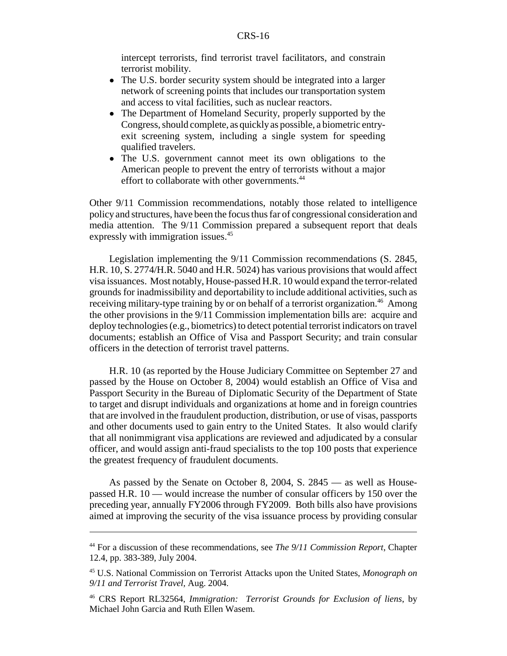intercept terrorists, find terrorist travel facilitators, and constrain terrorist mobility.

- The U.S. border security system should be integrated into a larger network of screening points that includes our transportation system and access to vital facilities, such as nuclear reactors.
- ! The Department of Homeland Security, properly supported by the Congress, should complete, as quickly as possible, a biometric entryexit screening system, including a single system for speeding qualified travelers.
- The U.S. government cannot meet its own obligations to the American people to prevent the entry of terrorists without a major effort to collaborate with other governments.<sup>44</sup>

Other 9/11 Commission recommendations, notably those related to intelligence policy and structures, have been the focus thus far of congressional consideration and media attention. The 9/11 Commission prepared a subsequent report that deals expressly with immigration issues.<sup>45</sup>

Legislation implementing the 9/11 Commission recommendations (S. 2845, H.R. 10, S. 2774/H.R. 5040 and H.R. 5024) has various provisions that would affect visa issuances. Most notably, House-passed H.R. 10 would expand the terror-related grounds for inadmissibility and deportability to include additional activities, such as receiving military-type training by or on behalf of a terrorist organization.<sup>46</sup> Among the other provisions in the 9/11 Commission implementation bills are: acquire and deploy technologies (e.g., biometrics) to detect potential terrorist indicators on travel documents; establish an Office of Visa and Passport Security; and train consular officers in the detection of terrorist travel patterns.

H.R. 10 (as reported by the House Judiciary Committee on September 27 and passed by the House on October 8, 2004) would establish an Office of Visa and Passport Security in the Bureau of Diplomatic Security of the Department of State to target and disrupt individuals and organizations at home and in foreign countries that are involved in the fraudulent production, distribution, or use of visas, passports and other documents used to gain entry to the United States. It also would clarify that all nonimmigrant visa applications are reviewed and adjudicated by a consular officer, and would assign anti-fraud specialists to the top 100 posts that experience the greatest frequency of fraudulent documents.

As passed by the Senate on October 8, 2004, S. 2845 — as well as Housepassed H.R. 10 — would increase the number of consular officers by 150 over the preceding year, annually FY2006 through FY2009. Both bills also have provisions aimed at improving the security of the visa issuance process by providing consular

<sup>44</sup> For a discussion of these recommendations, see *The 9/11 Commission Report*, Chapter 12.4, pp. 383-389, July 2004.

<sup>45</sup> U.S. National Commission on Terrorist Attacks upon the United States, *Monograph on 9/11 and Terrorist Travel,* Aug. 2004.

<sup>46</sup> CRS Report RL32564, *Immigration: Terrorist Grounds for Exclusion of liens*, by Michael John Garcia and Ruth Ellen Wasem.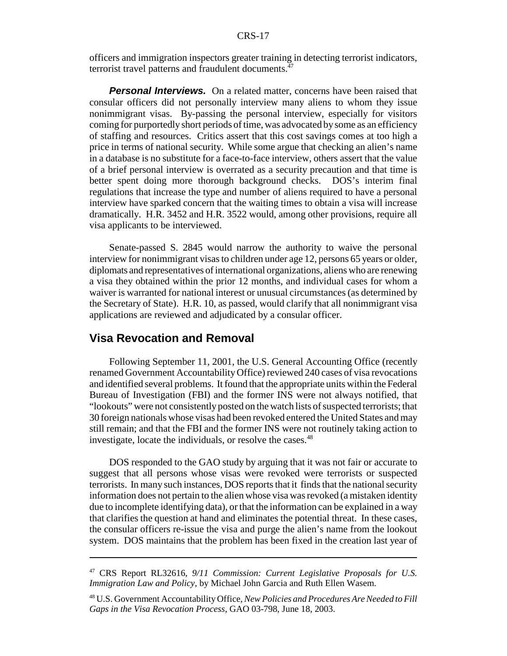officers and immigration inspectors greater training in detecting terrorist indicators, terrorist travel patterns and fraudulent documents.<sup>47</sup>

**Personal Interviews.** On a related matter, concerns have been raised that consular officers did not personally interview many aliens to whom they issue nonimmigrant visas. By-passing the personal interview, especially for visitors coming for purportedly short periods of time, was advocated by some as an efficiency of staffing and resources. Critics assert that this cost savings comes at too high a price in terms of national security. While some argue that checking an alien's name in a database is no substitute for a face-to-face interview, others assert that the value of a brief personal interview is overrated as a security precaution and that time is better spent doing more thorough background checks. DOS's interim final regulations that increase the type and number of aliens required to have a personal interview have sparked concern that the waiting times to obtain a visa will increase dramatically. H.R. 3452 and H.R. 3522 would, among other provisions, require all visa applicants to be interviewed.

Senate-passed S. 2845 would narrow the authority to waive the personal interview for nonimmigrant visas to children under age 12, persons 65 years or older, diplomats and representatives of international organizations, aliens who are renewing a visa they obtained within the prior 12 months, and individual cases for whom a waiver is warranted for national interest or unusual circumstances (as determined by the Secretary of State). H.R. 10, as passed, would clarify that all nonimmigrant visa applications are reviewed and adjudicated by a consular officer.

#### **Visa Revocation and Removal**

Following September 11, 2001, the U.S. General Accounting Office (recently renamed Government Accountability Office) reviewed 240 cases of visa revocations and identified several problems. It found that the appropriate units within the Federal Bureau of Investigation (FBI) and the former INS were not always notified, that "lookouts" were not consistently posted on the watch lists of suspected terrorists; that 30 foreign nationals whose visas had been revoked entered the United States and may still remain; and that the FBI and the former INS were not routinely taking action to investigate, locate the individuals, or resolve the cases.<sup>48</sup>

DOS responded to the GAO study by arguing that it was not fair or accurate to suggest that all persons whose visas were revoked were terrorists or suspected terrorists. In many such instances, DOS reports that it finds that the national security information does not pertain to the alien whose visa was revoked (a mistaken identity due to incomplete identifying data), or that the information can be explained in a way that clarifies the question at hand and eliminates the potential threat. In these cases, the consular officers re-issue the visa and purge the alien's name from the lookout system. DOS maintains that the problem has been fixed in the creation last year of

<sup>47</sup> CRS Report RL32616, *9/11 Commission: Current Legislative Proposals for U.S. Immigration Law and Policy*, by Michael John Garcia and Ruth Ellen Wasem.

<sup>48</sup> U.S. Government Accountability Office, *New Policies and Procedures Are Needed to Fill Gaps in the Visa Revocation Process*, GAO 03-798, June 18, 2003.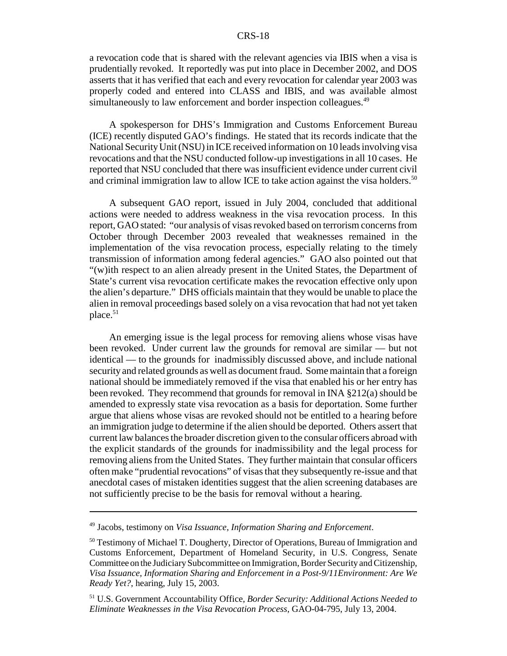a revocation code that is shared with the relevant agencies via IBIS when a visa is prudentially revoked. It reportedly was put into place in December 2002, and DOS asserts that it has verified that each and every revocation for calendar year 2003 was properly coded and entered into CLASS and IBIS, and was available almost simultaneously to law enforcement and border inspection colleagues.<sup>49</sup>

A spokesperson for DHS's Immigration and Customs Enforcement Bureau (ICE) recently disputed GAO's findings. He stated that its records indicate that the National Security Unit (NSU) in ICE received information on 10 leads involving visa revocations and that the NSU conducted follow-up investigations in all 10 cases. He reported that NSU concluded that there was insufficient evidence under current civil and criminal immigration law to allow ICE to take action against the visa holders.<sup>50</sup>

A subsequent GAO report, issued in July 2004, concluded that additional actions were needed to address weakness in the visa revocation process. In this report, GAO stated: "our analysis of visas revoked based on terrorism concerns from October through December 2003 revealed that weaknesses remained in the implementation of the visa revocation process, especially relating to the timely transmission of information among federal agencies." GAO also pointed out that "(w)ith respect to an alien already present in the United States, the Department of State's current visa revocation certificate makes the revocation effective only upon the alien's departure." DHS officials maintain that they would be unable to place the alien in removal proceedings based solely on a visa revocation that had not yet taken place.<sup>51</sup>

An emerging issue is the legal process for removing aliens whose visas have been revoked. Under current law the grounds for removal are similar — but not identical — to the grounds for inadmissibly discussed above, and include national security and related grounds as well as document fraud. Some maintain that a foreign national should be immediately removed if the visa that enabled his or her entry has been revoked. They recommend that grounds for removal in INA §212(a) should be amended to expressly state visa revocation as a basis for deportation. Some further argue that aliens whose visas are revoked should not be entitled to a hearing before an immigration judge to determine if the alien should be deported. Others assert that current law balances the broader discretion given to the consular officers abroad with the explicit standards of the grounds for inadmissibility and the legal process for removing aliens from the United States. They further maintain that consular officers often make "prudential revocations" of visas that they subsequently re-issue and that anecdotal cases of mistaken identities suggest that the alien screening databases are not sufficiently precise to be the basis for removal without a hearing.

<sup>49</sup> Jacobs, testimony on *Visa Issuance, Information Sharing and Enforcement*.

<sup>&</sup>lt;sup>50</sup> Testimony of Michael T. Dougherty, Director of Operations, Bureau of Immigration and Customs Enforcement, Department of Homeland Security, in U.S. Congress, Senate Committee on the Judiciary Subcommittee on Immigration, Border Security and Citizenship, *Visa Issuance, Information Sharing and Enforcement in a Post-9/11Environment: Are We Ready Yet?*, hearing, July 15, 2003.

<sup>51</sup> U.S. Government Accountability Office, *Border Security: Additional Actions Needed to Eliminate Weaknesses in the Visa Revocation Process*, GAO-04-795, July 13, 2004.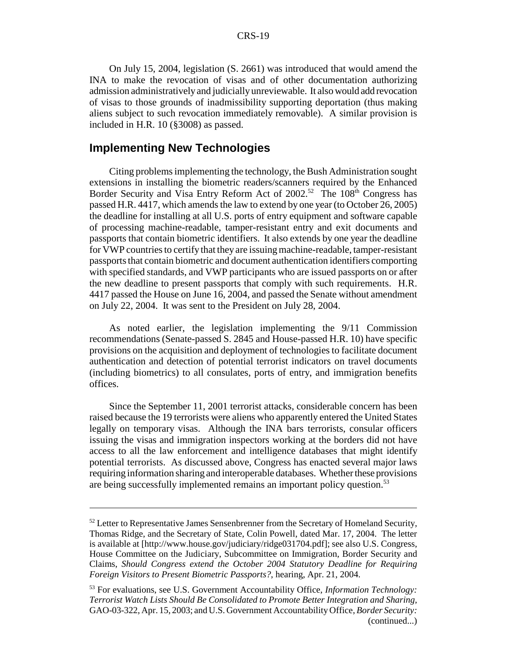On July 15, 2004, legislation (S. 2661) was introduced that would amend the INA to make the revocation of visas and of other documentation authorizing admission administratively and judicially unreviewable. It also would add revocation of visas to those grounds of inadmissibility supporting deportation (thus making aliens subject to such revocation immediately removable). A similar provision is included in H.R. 10 (§3008) as passed.

#### **Implementing New Technologies**

Citing problems implementing the technology, the Bush Administration sought extensions in installing the biometric readers/scanners required by the Enhanced Border Security and Visa Entry Reform Act of  $2002$ <sup>52</sup> The  $108<sup>th</sup>$  Congress has passed H.R. 4417, which amends the law to extend by one year (to October 26, 2005) the deadline for installing at all U.S. ports of entry equipment and software capable of processing machine-readable, tamper-resistant entry and exit documents and passports that contain biometric identifiers. It also extends by one year the deadline for VWP countries to certify that they are issuing machine-readable, tamper-resistant passports that contain biometric and document authentication identifiers comporting with specified standards, and VWP participants who are issued passports on or after the new deadline to present passports that comply with such requirements. H.R. 4417 passed the House on June 16, 2004, and passed the Senate without amendment on July 22, 2004. It was sent to the President on July 28, 2004.

As noted earlier, the legislation implementing the 9/11 Commission recommendations (Senate-passed S. 2845 and House-passed H.R. 10) have specific provisions on the acquisition and deployment of technologies to facilitate document authentication and detection of potential terrorist indicators on travel documents (including biometrics) to all consulates, ports of entry, and immigration benefits offices.

Since the September 11, 2001 terrorist attacks, considerable concern has been raised because the 19 terrorists were aliens who apparently entered the United States legally on temporary visas. Although the INA bars terrorists, consular officers issuing the visas and immigration inspectors working at the borders did not have access to all the law enforcement and intelligence databases that might identify potential terrorists. As discussed above, Congress has enacted several major laws requiring information sharing and interoperable databases. Whether these provisions are being successfully implemented remains an important policy question.<sup>53</sup>

 $52$  Letter to Representative James Sensenbrenner from the Secretary of Homeland Security, Thomas Ridge, and the Secretary of State, Colin Powell, dated Mar. 17, 2004. The letter is available at [http://www.house.gov/judiciary/ridge031704.pdf]; see also U.S. Congress, House Committee on the Judiciary, Subcommittee on Immigration, Border Security and Claims, *Should Congress extend the October 2004 Statutory Deadline for Requiring Foreign Visitors to Present Biometric Passports?*, hearing, Apr. 21, 2004.

<sup>53</sup> For evaluations, see U.S. Government Accountability Office, *Information Technology: Terrorist Watch Lists Should Be Consolidated to Promote Better Integration and Sharing*, GAO-03-322, Apr. 15, 2003; and U.S. Government Accountability Office, *Border Security:*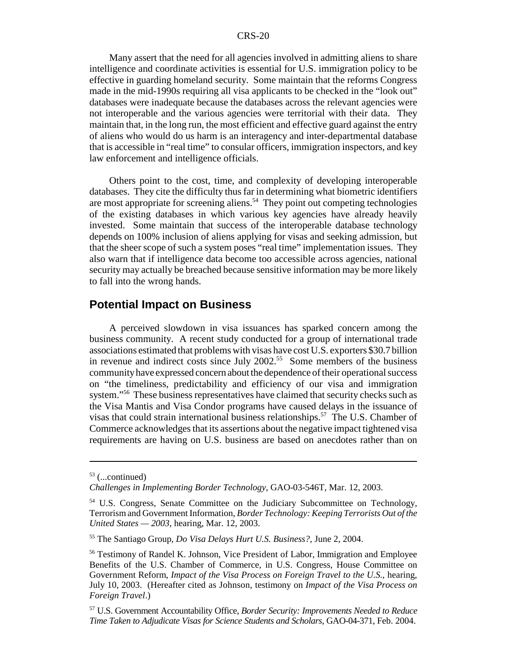Many assert that the need for all agencies involved in admitting aliens to share intelligence and coordinate activities is essential for U.S. immigration policy to be effective in guarding homeland security. Some maintain that the reforms Congress made in the mid-1990s requiring all visa applicants to be checked in the "look out" databases were inadequate because the databases across the relevant agencies were not interoperable and the various agencies were territorial with their data. They maintain that, in the long run, the most efficient and effective guard against the entry of aliens who would do us harm is an interagency and inter-departmental database that is accessible in "real time" to consular officers, immigration inspectors, and key law enforcement and intelligence officials.

Others point to the cost, time, and complexity of developing interoperable databases. They cite the difficulty thus far in determining what biometric identifiers are most appropriate for screening aliens.<sup>54</sup> They point out competing technologies of the existing databases in which various key agencies have already heavily invested. Some maintain that success of the interoperable database technology depends on 100% inclusion of aliens applying for visas and seeking admission, but that the sheer scope of such a system poses "real time" implementation issues. They also warn that if intelligence data become too accessible across agencies, national security may actually be breached because sensitive information may be more likely to fall into the wrong hands.

#### **Potential Impact on Business**

A perceived slowdown in visa issuances has sparked concern among the business community. A recent study conducted for a group of international trade associations estimated that problems with visas have cost U.S. exporters \$30.7 billion in revenue and indirect costs since July  $2002$ <sup>55</sup> Some members of the business community have expressed concern about the dependence of their operational success on "the timeliness, predictability and efficiency of our visa and immigration system."56 These business representatives have claimed that security checks such as the Visa Mantis and Visa Condor programs have caused delays in the issuance of visas that could strain international business relationships.<sup>57</sup> The U.S. Chamber of Commerce acknowledges that its assertions about the negative impact tightened visa requirements are having on U.S. business are based on anecdotes rather than on

 $53$  (...continued)

*Challenges in Implementing Border Technology*, GAO-03-546T, Mar. 12, 2003.

<sup>&</sup>lt;sup>54</sup> U.S. Congress, Senate Committee on the Judiciary Subcommittee on Technology, Terrorism and Government Information, *Border Technology: Keeping Terrorists Out of the United States — 2003*, hearing, Mar. 12, 2003.

<sup>55</sup> The Santiago Group, *Do Visa Delays Hurt U.S. Business?*, June 2, 2004.

<sup>&</sup>lt;sup>56</sup> Testimony of Randel K. Johnson, Vice President of Labor, Immigration and Employee Benefits of the U.S. Chamber of Commerce, in U.S. Congress, House Committee on Government Reform, *Impact of the Visa Process on Foreign Travel to the U.S.*, hearing, July 10, 2003. (Hereafter cited as Johnson, testimony on *Impact of the Visa Process on Foreign Travel*.)

<sup>57</sup> U.S. Government Accountability Office, *Border Security: Improvements Needed to Reduce Time Taken to Adjudicate Visas for Science Students and Scholars*, GAO-04-371, Feb. 2004.